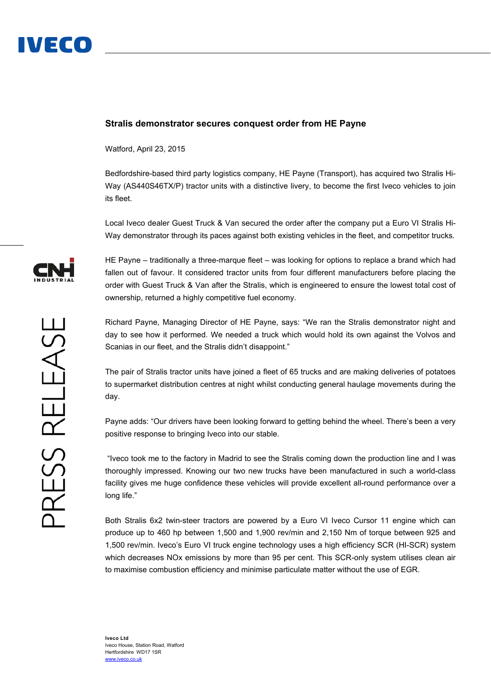

## **Stralis demonstrator secures conquest order from HE Payne**

Watford, April 23, 2015

Bedfordshire-based third party logistics company, HE Payne (Transport), has acquired two Stralis Hi-Way (AS440S46TX/P) tractor units with a distinctive livery, to become the first Iveco vehicles to join its fleet.

Local Iveco dealer Guest Truck & Van secured the order after the company put a Euro VI Stralis Hi-Way demonstrator through its paces against both existing vehicles in the fleet, and competitor trucks.

HE Payne – traditionally a three-marque fleet – was looking for options to replace a brand which had fallen out of favour. It considered tractor units from four different manufacturers before placing the order with Guest Truck & Van after the Stralis, which is engineered to ensure the lowest total cost of ownership, returned a highly competitive fuel economy.

Richard Payne, Managing Director of HE Payne, says: "We ran the Stralis demonstrator night and day to see how it performed. We needed a truck which would hold its own against the Volvos and Scanias in our fleet, and the Stralis didn't disappoint."

The pair of Stralis tractor units have joined a fleet of 65 trucks and are making deliveries of potatoes to supermarket distribution centres at night whilst conducting general haulage movements during the day.

Payne adds: "Our drivers have been looking forward to getting behind the wheel. There's been a very positive response to bringing Iveco into our stable.

 "Iveco took me to the factory in Madrid to see the Stralis coming down the production line and I was thoroughly impressed. Knowing our two new trucks have been manufactured in such a world-class facility gives me huge confidence these vehicles will provide excellent all-round performance over a long life."

Both Stralis 6x2 twin-steer tractors are powered by a Euro VI Iveco Cursor 11 engine which can produce up to 460 hp between 1,500 and 1,900 rev/min and 2,150 Nm of torque between 925 and 1,500 rev/min. Iveco's Euro VI truck engine technology uses a high efficiency SCR (HI-SCR) system which decreases NOx emissions by more than 95 per cent. This SCR-only system utilises clean air to maximise combustion efficiency and minimise particulate matter without the use of EGR.

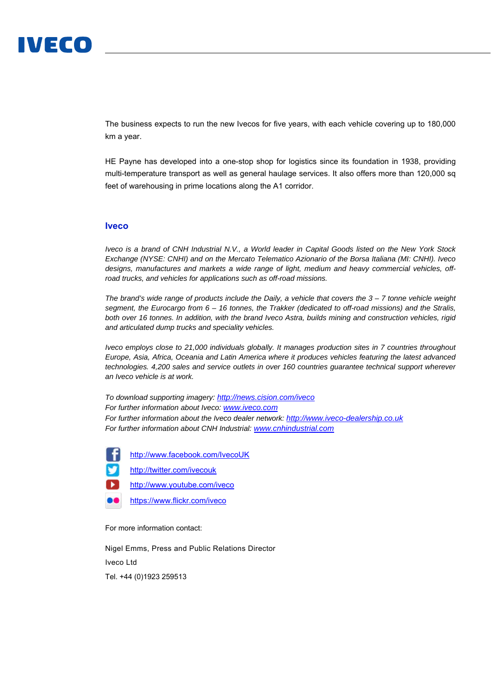## IVECO

The business expects to run the new Ivecos for five years, with each vehicle covering up to 180,000 km a year.

HE Payne has developed into a one-stop shop for logistics since its foundation in 1938, providing multi-temperature transport as well as general haulage services. It also offers more than 120,000 sq feet of warehousing in prime locations along the A1 corridor.

## **Iveco**

*Iveco is a brand of CNH Industrial N.V., a World leader in Capital Goods listed on the New York Stock Exchange (NYSE: CNHI) and on the Mercato Telematico Azionario of the Borsa Italiana (MI: CNHI). Iveco designs, manufactures and markets a wide range of light, medium and heavy commercial vehicles, offroad trucks, and vehicles for applications such as off-road missions.* 

*The brand's wide range of products include the Daily, a vehicle that covers the 3 – 7 tonne vehicle weight segment, the Eurocargo from 6 – 16 tonnes, the Trakker (dedicated to off-road missions) and the Stralis, both over 16 tonnes. In addition, with the brand Iveco Astra, builds mining and construction vehicles, rigid and articulated dump trucks and speciality vehicles.* 

*Iveco employs close to 21,000 individuals globally. It manages production sites in 7 countries throughout Europe, Asia, Africa, Oceania and Latin America where it produces vehicles featuring the latest advanced technologies. 4,200 sales and service outlets in over 160 countries guarantee technical support wherever an Iveco vehicle is at work.* 

*To download supporting imagery: http://news.cision.com/iveco For further information about Iveco: www.iveco.com For further information about the Iveco dealer network: http://www.iveco-dealership.co.uk For further information about CNH Industrial: www.cnhindustrial.com*

http://www.facebook.com/IvecoUK

ы

http://twitter.com/ivecouk

http://www.youtube.com/iveco

.. https://www.flickr.com/iveco

For more information contact:

Nigel Emms, Press and Public Relations Director Iveco Ltd

Tel. +44 (0)1923 259513